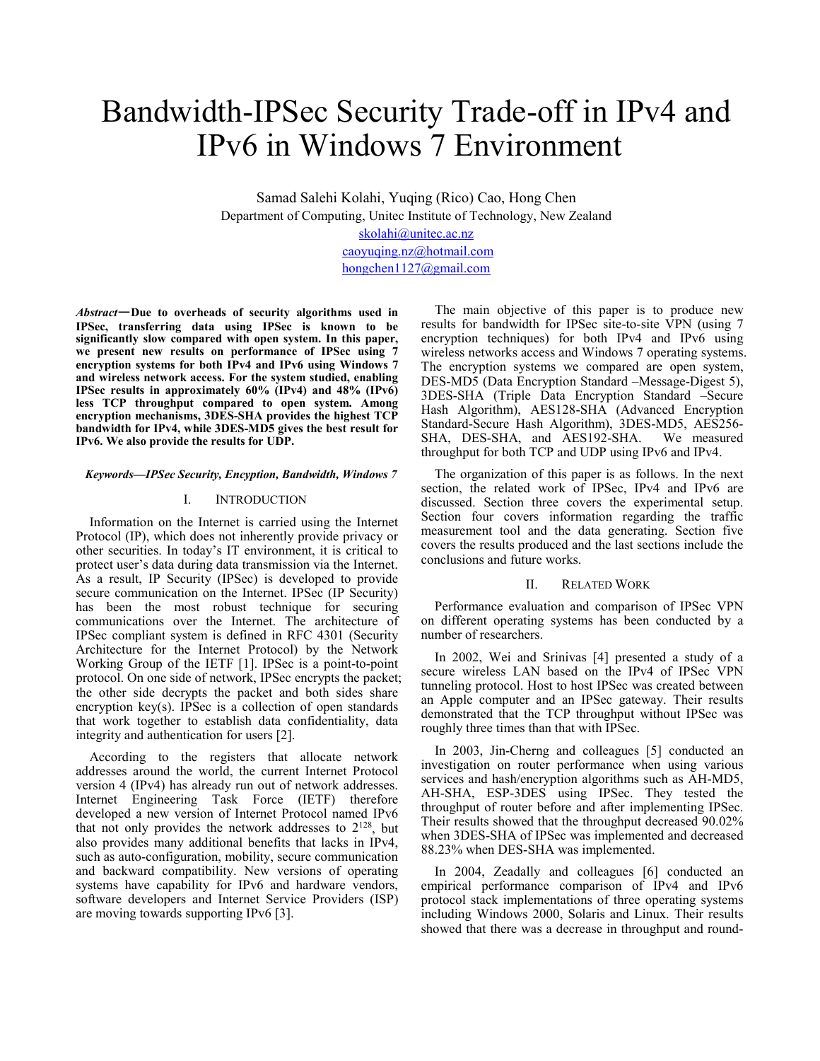# Bandwidth-IPSec Security Trade-off in IPv4 and IPv6 in Windows 7 Environment

Samad Salehi Kolahi, Yuqing (Rico) Cao, Hong Chen Department of Computing, Unitec Institute of Technology, New Zealand

[skolahi@unitec.ac.nz](mailto:skolahi@unitec.ac.nz) [caoyuqing.nz@hotmail.com](mailto:caoyuqing.nz@hotmail.com) hongchen1127@gmail.com

*Abstract*—**Due to overheads of security algorithms used in IPSec, transferring data using IPSec is known to be significantly slow compared with open system. In this paper, we present new results on performance of IPSec using 7 encryption systems for both IPv4 and IPv6 using Windows 7 and wireless network access. For the system studied, enabling IPSec results in approximately 60% (IPv4) and 48% (IPv6) less TCP throughput compared to open system. Among encryption mechanisms, 3DES-SHA provides the highest TCP bandwidth for IPv4, while 3DES-MD5 gives the best result for IPv6. We also provide the results for UDP.**

#### *Keywords—IPSec Security, Encyption, Bandwidth, Windows 7*

## I. INTRODUCTION

Information on the Internet is carried using the Internet Protocol (IP), which does not inherently provide privacy or other securities. In today's IT environment, it is critical to protect user's data during data transmission via the Internet. As a result, IP Security (IPSec) is developed to provide secure communication on the Internet. IPSec (IP Security) has been the most robust technique for securing communications over the Internet. The architecture of IPSec compliant system is defined in RFC 4301 (Security Architecture for the Internet Protocol) by the Network Working Group of the IETF [1]. IPSec is a point-to-point protocol. On one side of network, IPSec encrypts the packet; the other side decrypts the packet and both sides share encryption key(s). IPSec is a collection of open standards that work together to establish data confidentiality, data integrity and authentication for users [2].

According to the registers that allocate network addresses around the world, the current Internet Protocol version 4 (IPv4) has already run out of network addresses. Internet Engineering Task Force (IETF) therefore developed a new version of Internet Protocol named IPv6 that not only provides the network addresses to 2128, but also provides many additional benefits that lacks in IPv4, such as auto-configuration, mobility, secure communication and backward compatibility. New versions of operating systems have capability for IPv6 and hardware vendors, software developers and Internet Service Providers (ISP) are moving towards supporting IPv6 [3].

The main objective of this paper is to produce new results for bandwidth for IPSec site-to-site VPN (using 7 encryption techniques) for both IPv4 and IPv6 using wireless networks access and Windows 7 operating systems. The encryption systems we compared are open system, DES-MD5 (Data Encryption Standard –Message-Digest 5), 3DES-SHA (Triple Data Encryption Standard –Secure Hash Algorithm), AES128-SHA (Advanced Encryption Standard-Secure Hash Algorithm), 3DES-MD5, AES256- SHA, DES-SHA, and AES192-SHA. We measured throughput for both TCP and UDP using IPv6 and IPv4.

The organization of this paper is as follows. In the next section, the related work of IPSec, IPv4 and IPv6 are discussed. Section three covers the experimental setup. Section four covers information regarding the traffic measurement tool and the data generating. Section five covers the results produced and the last sections include the conclusions and future works.

## II. RELATED WORK

Performance evaluation and comparison of IPSec VPN on different operating systems has been conducted by a number of researchers.

In 2002, Wei and Srinivas [4] presented a study of a secure wireless LAN based on the IPv4 of IPSec VPN tunneling protocol. Host to host IPSec was created between an Apple computer and an IPSec gateway. Their results demonstrated that the TCP throughput without IPSec was roughly three times than that with IPSec.

In 2003, Jin-Cherng and colleagues [5] conducted an investigation on router performance when using various services and hash/encryption algorithms such as AH-MD5, AH-SHA, ESP-3DES using IPSec. They tested the throughput of router before and after implementing IPSec. Their results showed that the throughput decreased 90.02% when 3DES-SHA of IPSec was implemented and decreased 88.23% when DES-SHA was implemented.

In 2004, Zeadally and colleagues [6] conducted an empirical performance comparison of IPv4 and IPv6 protocol stack implementations of three operating systems including Windows 2000, Solaris and Linux. Their results showed that there was a decrease in throughput and round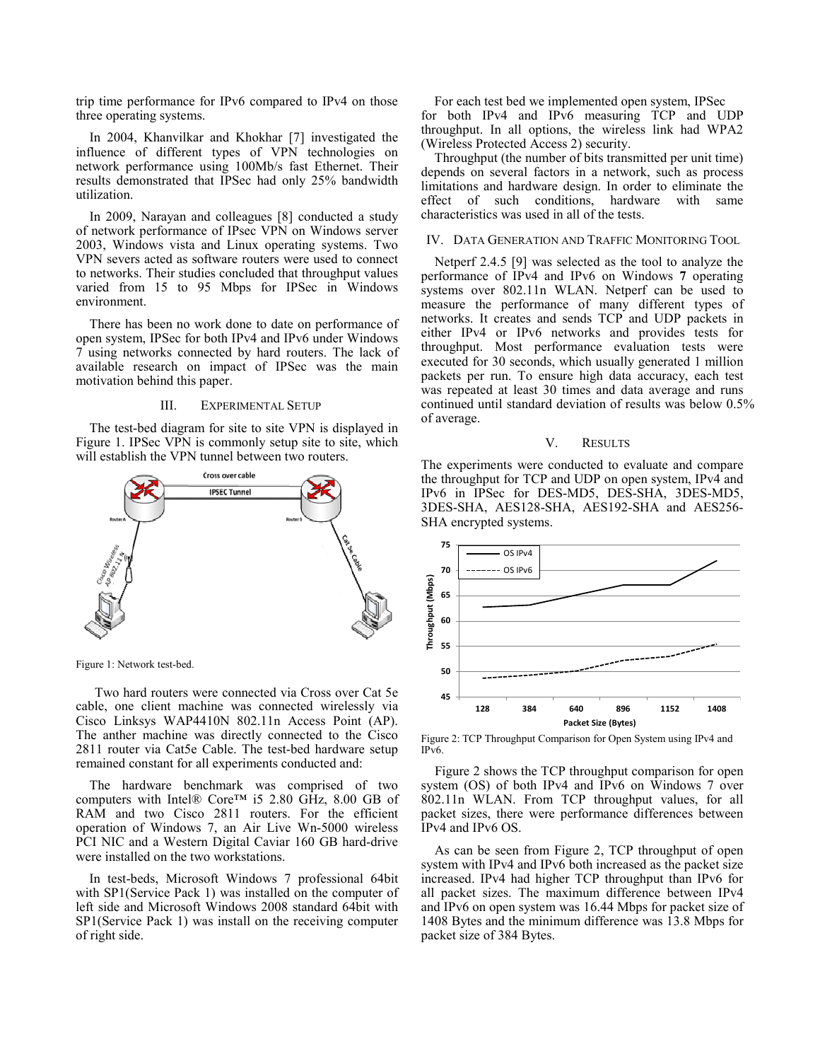trip time performance for IPv6 compared to IPv4 on those three operating systems.

In 2004, Khanvilkar and Khokhar [7] investigated the influence of different types of VPN technologies on network performance using 100Mb/s fast Ethernet. Their results demonstrated that IPSec had only 25% bandwidth utilization.

In 2009, Narayan and colleagues [8] conducted a study of network performance of IPsec VPN on Windows server 2003, Windows vista and Linux operating systems. Two VPN severs acted as software routers were used to connect to networks. Their studies concluded that throughput values varied from 15 to 95 Mbps for IPSec in Windows environment.

There has been no work done to date on performance of open system, IPSec for both IPv4 and IPv6 under Windows 7 using networks connected by hard routers. The lack of available research on impact of IPSec was the main motivation behind this paper.

#### III. EXPERIMENTAL SETUP

The test-bed diagram for site to site VPN is displayed in Figure 1. IPSec VPN is commonly setup site to site, which will establish the VPN tunnel between two routers.



Figure 1: Network test-bed.

Two hard routers were connected via Cross over Cat 5e cable, one client machine was connected wirelessly via Cisco Linksys WAP4410N 802.11n Access Point (AP). The anther machine was directly connected to the Cisco 2811 router via Cat5e Cable. The test-bed hardware setup remained constant for all experiments conducted and:

The hardware benchmark was comprised of two computers with Intel® Core™ i5 2.80 GHz, 8.00 GB of RAM and two Cisco 2811 routers. For the efficient operation of Windows 7, an Air Live Wn-5000 wireless PCI NIC and a Western Digital Caviar 160 GB hard-drive were installed on the two workstations.

In test-beds, Microsoft Windows 7 professional 64bit with SP1(Service Pack 1) was installed on the computer of left side and Microsoft Windows 2008 standard 64bit with SP1(Service Pack 1) was install on the receiving computer of right side.

For each test bed we implemented open system, IPSec for both IPv4 and IPv6 measuring TCP and UDP throughput. In all options, the wireless link had WPA2 (Wireless Protected Access 2) security.

Throughput (the number of bits transmitted per unit time) depends on several factors in a network, such as process limitations and hardware design. In order to eliminate the effect of such conditions, hardware with same characteristics was used in all of the tests.

#### IV. DATA GENERATION AND TRAFFIC MONITORING TOOL

Netperf 2.4.5 [9] was selected as the tool to analyze the performance of IPv4 and IPv6 on Windows **7** operating systems over 802.11n WLAN. Netperf can be used to measure the performance of many different types of networks. It creates and sends TCP and UDP packets in either IPv4 or IPv6 networks and provides tests for throughput. Most performance evaluation tests were executed for 30 seconds, which usually generated 1 million packets per run. To ensure high data accuracy, each test was repeated at least 30 times and data average and runs continued until standard deviation of results was below 0.5% of average.

## V. RESULTS

The experiments were conducted to evaluate and compare the throughput for TCP and UDP on open system, IPv4 and IPv6 in IPSec for DES-MD5, DES-SHA, 3DES-MD5, 3DES-SHA, AES128-SHA, AES192-SHA and AES256- SHA encrypted systems.



Figure 2: TCP Throughput Comparison for Open System using IPv4 and IPv6.

Figure 2 shows the TCP throughput comparison for open system (OS) of both IPv4 and IPv6 on Windows 7 over 802.11n WLAN. From TCP throughput values, for all packet sizes, there were performance differences between IPv4 and IPv6 OS.

As can be seen from Figure 2, TCP throughput of open system with IPv4 and IPv6 both increased as the packet size increased. IPv4 had higher TCP throughput than IPv6 for all packet sizes. The maximum difference between IPv4 and IPv6 on open system was 16.44 Mbps for packet size of 1408 Bytes and the minimum difference was 13.8 Mbps for packet size of 384 Bytes.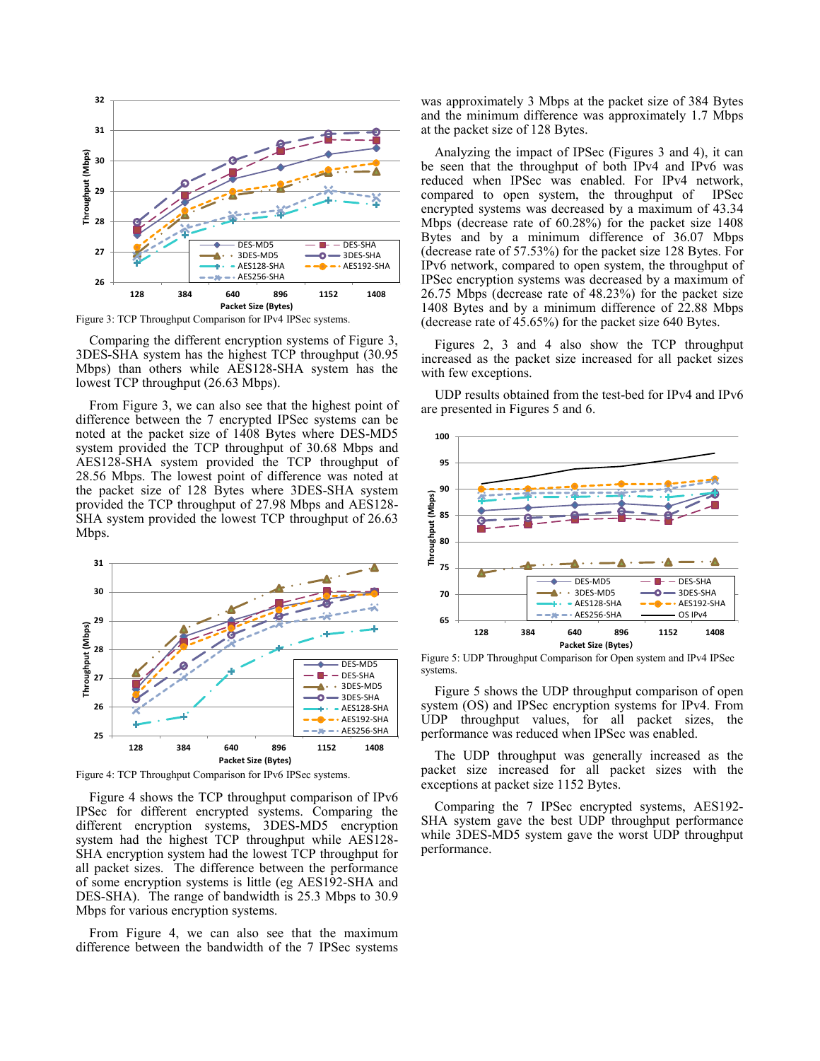

Figure 3: TCP Throughput Comparison for IPv4 IPSec systems.

Comparing the different encryption systems of Figure 3, 3DES-SHA system has the highest TCP throughput (30.95 Mbps) than others while AES128-SHA system has the lowest TCP throughput (26.63 Mbps).

From Figure 3, we can also see that the highest point of difference between the 7 encrypted IPSec systems can be noted at the packet size of 1408 Bytes where DES-MD5 system provided the TCP throughput of 30.68 Mbps and AES128-SHA system provided the TCP throughput of 28.56 Mbps. The lowest point of difference was noted at the packet size of 128 Bytes where 3DES-SHA system provided the TCP throughput of 27.98 Mbps and AES128- SHA system provided the lowest TCP throughput of 26.63 Mbps.



Figure 4: TCP Throughput Comparison for IPv6 IPSec systems.

Figure 4 shows the TCP throughput comparison of IPv6 IPSec for different encrypted systems. Comparing the different encryption systems, 3DES-MD5 encryption system had the highest TCP throughput while AES128- SHA encryption system had the lowest TCP throughput for all packet sizes. The difference between the performance of some encryption systems is little (eg AES192-SHA and DES-SHA). The range of bandwidth is 25.3 Mbps to 30.9 Mbps for various encryption systems.

From Figure 4, we can also see that the maximum difference between the bandwidth of the 7 IPSec systems was approximately 3 Mbps at the packet size of 384 Bytes and the minimum difference was approximately 1.7 Mbps at the packet size of 128 Bytes.

Analyzing the impact of IPSec (Figures 3 and 4), it can be seen that the throughput of both IPv4 and IPv6 was reduced when IPSec was enabled. For IPv4 network, compared to open system, the throughput of IPSec encrypted systems was decreased by a maximum of 43.34 Mbps (decrease rate of 60.28%) for the packet size 1408 Bytes and by a minimum difference of 36.07 Mbps (decrease rate of 57.53%) for the packet size 128 Bytes. For IPv6 network, compared to open system, the throughput of IPSec encryption systems was decreased by a maximum of 26.75 Mbps (decrease rate of 48.23%) for the packet size 1408 Bytes and by a minimum difference of 22.88 Mbps (decrease rate of 45.65%) for the packet size 640 Bytes.

Figures 2, 3 and 4 also show the TCP throughput increased as the packet size increased for all packet sizes with few exceptions.

UDP results obtained from the test-bed for IPv4 and IPv6 are presented in Figures 5 and 6.



Figure 5: UDP Throughput Comparison for Open system and IPv4 IPSec systems.

Figure 5 shows the UDP throughput comparison of open system (OS) and IPSec encryption systems for IPv4. From UDP throughput values, for all packet sizes, the performance was reduced when IPSec was enabled.

The UDP throughput was generally increased as the packet size increased for all packet sizes with the exceptions at packet size 1152 Bytes.

Comparing the 7 IPSec encrypted systems, AES192- SHA system gave the best UDP throughput performance while 3DES-MD5 system gave the worst UDP throughput performance.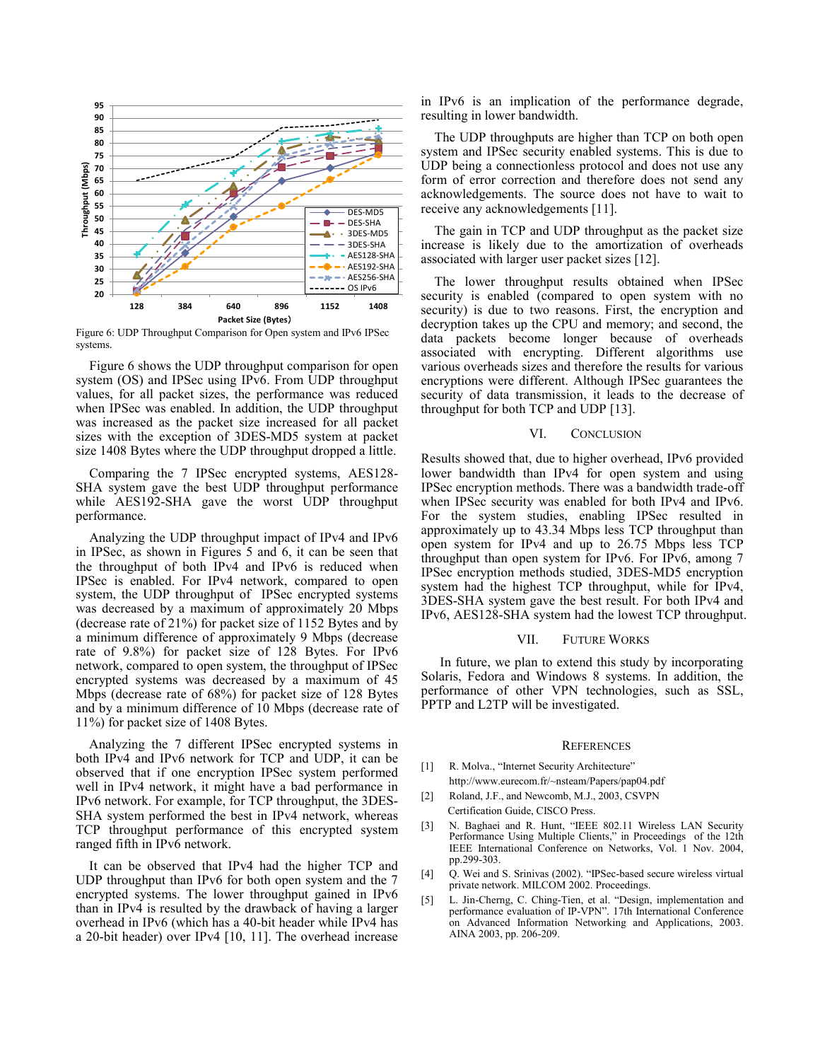

Figure 6: UDP Throughput Comparison for Open system and IPv6 IPSec systems.

Figure 6 shows the UDP throughput comparison for open system (OS) and IPSec using IPv6. From UDP throughput values, for all packet sizes, the performance was reduced when IPSec was enabled. In addition, the UDP throughput was increased as the packet size increased for all packet sizes with the exception of 3DES-MD5 system at packet size 1408 Bytes where the UDP throughput dropped a little.

Comparing the 7 IPSec encrypted systems, AES128- SHA system gave the best UDP throughput performance while AES192-SHA gave the worst UDP throughput performance.

Analyzing the UDP throughput impact of IPv4 and IPv6 in IPSec, as shown in Figures 5 and 6, it can be seen that the throughput of both IPv4 and IPv6 is reduced when IPSec is enabled. For IPv4 network, compared to open system, the UDP throughput of IPSec encrypted systems was decreased by a maximum of approximately 20 Mbps (decrease rate of 21%) for packet size of 1152 Bytes and by a minimum difference of approximately 9 Mbps (decrease rate of 9.8%) for packet size of 128 Bytes. For IPv6 network, compared to open system, the throughput of IPSec encrypted systems was decreased by a maximum of 45 Mbps (decrease rate of 68%) for packet size of 128 Bytes and by a minimum difference of 10 Mbps (decrease rate of 11%) for packet size of 1408 Bytes.

Analyzing the 7 different IPSec encrypted systems in both IPv4 and IPv6 network for TCP and UDP, it can be observed that if one encryption IPSec system performed well in IPv4 network, it might have a bad performance in IPv6 network. For example, for TCP throughput, the 3DES-SHA system performed the best in IPv4 network, whereas TCP throughput performance of this encrypted system ranged fifth in IPv6 network.

It can be observed that IPv4 had the higher TCP and UDP throughput than IPv6 for both open system and the 7 encrypted systems. The lower throughput gained in IPv6 than in IPv4 is resulted by the drawback of having a larger overhead in IPv6 (which has a 40-bit header while IPv4 has a 20-bit header) over IPv4 [10, 11]. The overhead increase in IPv6 is an implication of the performance degrade, resulting in lower bandwidth.

The UDP throughputs are higher than TCP on both open system and IPSec security enabled systems. This is due to UDP being a connectionless protocol and does not use any form of error correction and therefore does not send any acknowledgements. The source does not have to wait to receive any acknowledgements [11].

The gain in TCP and UDP throughput as the packet size increase is likely due to the amortization of overheads associated with larger user packet sizes [12].

The lower throughput results obtained when IPSec security is enabled (compared to open system with no security) is due to two reasons. First, the encryption and decryption takes up the CPU and memory; and second, the data packets become longer because of overheads associated with encrypting. Different algorithms use various overheads sizes and therefore the results for various encryptions were different. Although IPSec guarantees the security of data transmission, it leads to the decrease of throughput for both TCP and UDP [13].

## VI. CONCLUSION

Results showed that, due to higher overhead, IPv6 provided lower bandwidth than IPv4 for open system and using IPSec encryption methods. There was a bandwidth trade-off when IPSec security was enabled for both IPv4 and IPv6. For the system studies, enabling IPSec resulted in approximately up to 43.34 Mbps less TCP throughput than open system for IPv4 and up to 26.75 Mbps less TCP throughput than open system for IPv6. For IPv6, among 7 IPSec encryption methods studied, 3DES-MD5 encryption system had the highest TCP throughput, while for IPv4, 3DES-SHA system gave the best result. For both IPv4 and IPv6, AES128-SHA system had the lowest TCP throughput.

## VII. FUTURE WORKS

In future, we plan to extend this study by incorporating Solaris, Fedora and Windows 8 systems. In addition, the performance of other VPN technologies, such as SSL, PPTP and L2TP will be investigated.

#### **REFERENCES**

- [1] R. Molva., "Internet Security Architecture" [http://www.eurecom.fr/~nsteam/Papers/pap04.pdf](http://www.eurecom.fr/%7Ensteam/Papers/pap04.pdf)
- [2] Roland, J.F., and Newcomb, M.J., 2003, CSVPN Certification Guide, CISCO Press.
- [3] N. Baghaei and R. Hunt, "IEEE 802.11 Wireless LAN Security Performance Using Multiple Clients," in Proceedings of the 12th IEEE International Conference on Networks, Vol. 1 Nov. 2004, pp.299-303.
- [4] Q. Wei and S. Srinivas (2002). "IPSec-based secure wireless virtual private network. MILCOM 2002. Proceedings.
- [5] L. Jin-Cherng, C. Ching-Tien, et al. "Design, implementation and performance evaluation of IP-VPN". 17th International Conference on Advanced Information Networking and Applications, 2003. AINA 2003, pp. 206-209.